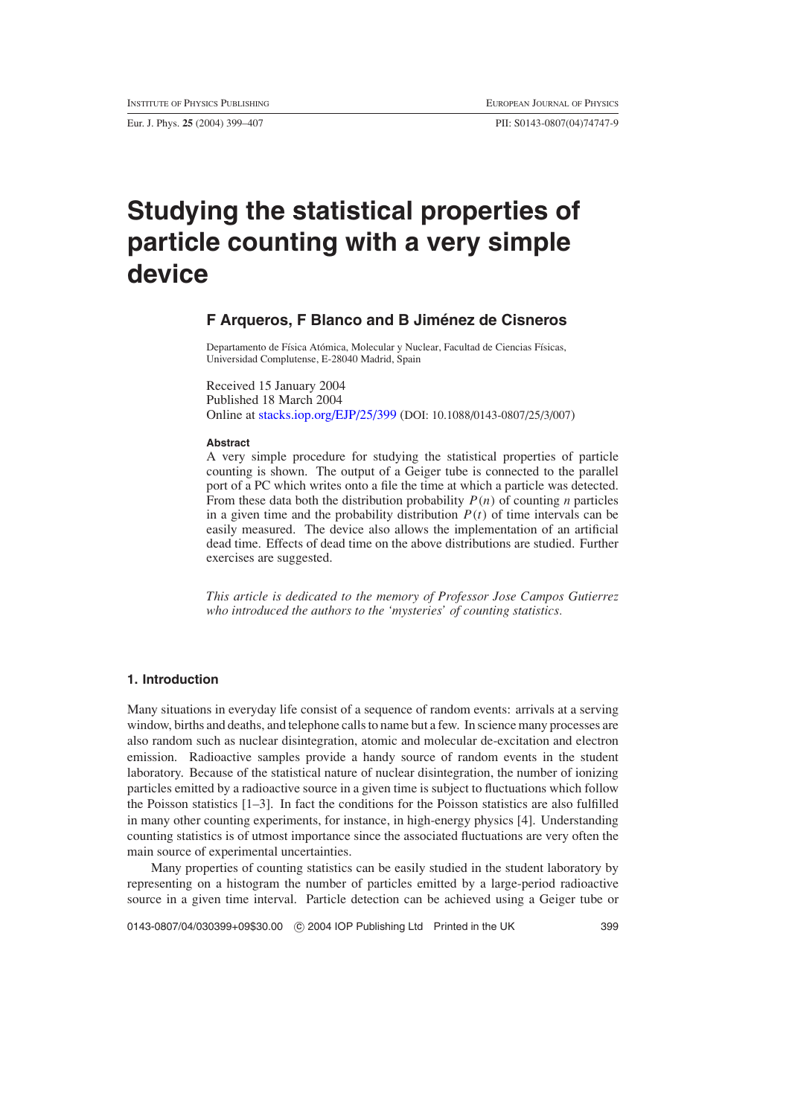Eur. J. Phys. **25** (2004) 399–407 PII: S0143-0807(04)74747-9

# **Studying the statistical properties of particle counting with a very simple device**

## **F Arqueros, F Blanco and B Jimenez de Cisneros ´**

Departamento de Física Atómica, Molecular y Nuclear, Facultad de Ciencias Físicas, Universidad Complutense, E-28040 Madrid, Spain

Received 15 January 2004 Published 18 March 2004 Online at [stacks.iop.org/EJP/25/399](http://stacks.iop.org/ej/25/399) (DOI: 10.1088/0143-0807/25/3/007)

#### **Abstract**

A very simple procedure for studying the statistical properties of particle counting is shown. The output of a Geiger tube is connected to the parallel port of a PC which writes onto a file the time at which a particle was detected. From these data both the distribution probability  $P(n)$  of counting *n* particles in a given time and the probability distribution  $P(t)$  of time intervals can be easily measured. The device also allows the implementation of an artificial dead time. Effects of dead time on the above distributions are studied. Further exercises are suggested.

*This article is dedicated to the memory of Professor Jose Campos Gutierrez who introduced the authors to the 'mysteries' of counting statistics.*

## **1. Introduction**

Many situations in everyday life consist of a sequence of random events: arrivals at a serving window, births and deaths, and telephone calls to name but a few. In science many processes are also random such as nuclear disintegration, atomic and molecular de-excitation and electron emission. Radioactive samples provide a handy source of random events in the student laboratory. Because of the statistical nature of nuclear disintegration, the number of ionizing particles emitted by a radioactive source in a given time is subject to fluctuations which follow the Poisson statistics [1–3]. In fact the conditions for the Poisson statistics are also fulfilled in many other counting experiments, for instance, in high-energy physics [4]. Understanding counting statistics is of utmost importance since the associated fluctuations are very often the main source of experimental uncertainties.

Many properties of counting statistics can be easily studied in the student laboratory by representing on a histogram the number of particles emitted by a large-period radioactive source in a given time interval. Particle detection can be achieved using a Geiger tube or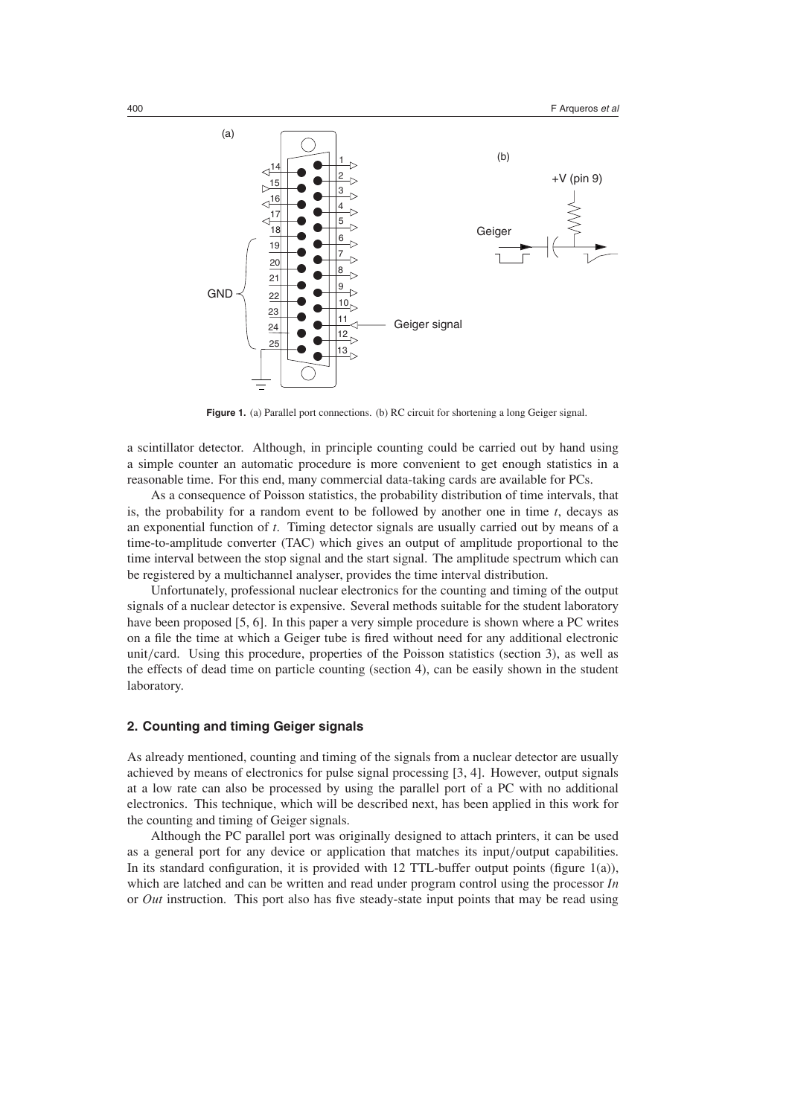

Figure 1. (a) Parallel port connections. (b) RC circuit for shortening a long Geiger signal.

a scintillator detector. Although, in principle counting could be carried out by hand using a simple counter an automatic procedure is more convenient to get enough statistics in a reasonable time. For this end, many commercial data-taking cards are available for PCs.

As a consequence of Poisson statistics, the probability distribution of time intervals, that is, the probability for a random event to be followed by another one in time *t*, decays as an exponential function of *t*. Timing detector signals are usually carried out by means of a time-to-amplitude converter (TAC) which gives an output of amplitude proportional to the time interval between the stop signal and the start signal. The amplitude spectrum which can be registered by a multichannel analyser, provides the time interval distribution.

Unfortunately, professional nuclear electronics for the counting and timing of the output signals of a nuclear detector is expensive. Several methods suitable for the student laboratory have been proposed [5, 6]. In this paper a very simple procedure is shown where a PC writes on a file the time at which a Geiger tube is fired without need for any additional electronic unit*/*card. Using this procedure, properties of the Poisson statistics (section 3), as well as the effects of dead time on particle counting (section 4), can be easily shown in the student laboratory.

## **2. Counting and timing Geiger signals**

As already mentioned, counting and timing of the signals from a nuclear detector are usually achieved by means of electronics for pulse signal processing [3, 4]. However, output signals at a low rate can also be processed by using the parallel port of a PC with no additional electronics. This technique, which will be described next, has been applied in this work for the counting and timing of Geiger signals.

Although the PC parallel port was originally designed to attach printers, it can be used as a general port for any device or application that matches its input*/*output capabilities. In its standard configuration, it is provided with 12 TTL-buffer output points (figure 1(a)), which are latched and can be written and read under program control using the processor *In* or *Out* instruction. This port also has five steady-state input points that may be read using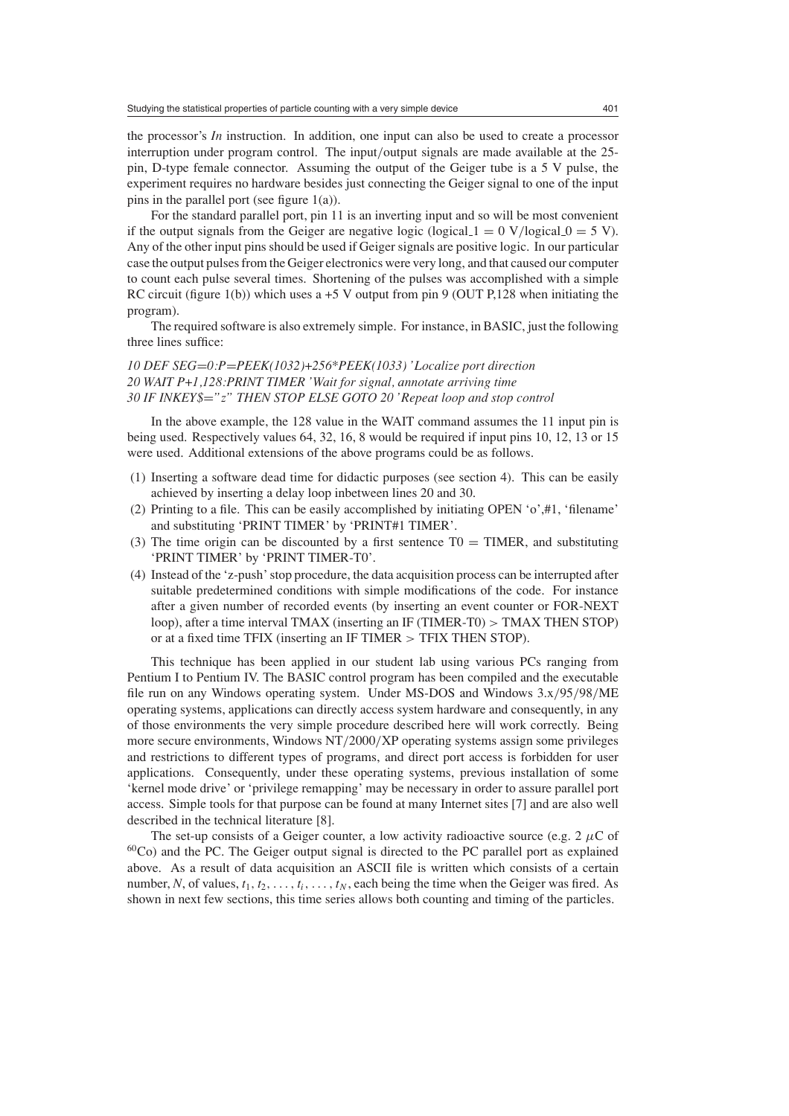the processor's *In* instruction. In addition, one input can also be used to create a processor interruption under program control. The input*/*output signals are made available at the 25 pin, D-type female connector. Assuming the output of the Geiger tube is a 5 V pulse, the experiment requires no hardware besides just connecting the Geiger signal to one of the input pins in the parallel port (see figure 1(a)).

For the standard parallel port, pin 11 is an inverting input and so will be most convenient if the output signals from the Geiger are negative logic (logical  $1 = 0$  V/logical  $0 = 5$  V). Any of the other input pins should be used if Geiger signals are positive logic. In our particular case the output pulses from the Geiger electronics were very long, and that caused our computer to count each pulse several times. Shortening of the pulses was accomplished with a simple RC circuit (figure 1(b)) which uses a  $+5$  V output from pin 9 (OUT P,128 when initiating the program).

The required software is also extremely simple. For instance, in BASIC, just the following three lines suffice:

*10 DEF SEG*=*0:P*=*PEEK(1032)*+*256\*PEEK(1033) 'Localize port direction 20 WAIT P*+*1,128:PRINT TIMER 'Wait for signal, annotate arriving time 30 IF INKEY\$*=*"z" THEN STOP ELSE GOTO 20 'Repeat loop and stop control*

In the above example, the 128 value in the WAIT command assumes the 11 input pin is being used. Respectively values 64, 32, 16, 8 would be required if input pins 10, 12, 13 or 15 were used. Additional extensions of the above programs could be as follows.

- (1) Inserting a software dead time for didactic purposes (see section 4). This can be easily achieved by inserting a delay loop inbetween lines 20 and 30.
- (2) Printing to a file. This can be easily accomplished by initiating OPEN 'o',#1, 'filename' and substituting 'PRINT TIMER' by 'PRINT#1 TIMER'.
- (3) The time origin can be discounted by a first sentence  $T0 = TIMER$ , and substituting 'PRINT TIMER' by 'PRINT TIMER-T0'.
- (4) Instead of the 'z-push' stop procedure, the data acquisition process can be interrupted after suitable predetermined conditions with simple modifications of the code. For instance after a given number of recorded events (by inserting an event counter or FOR-NEXT loop), after a time interval TMAX (inserting an IF (TIMER-T0) *>* TMAX THEN STOP) or at a fixed time TFIX (inserting an IF TIMER *>* TFIX THEN STOP).

This technique has been applied in our student lab using various PCs ranging from Pentium I to Pentium IV. The BASIC control program has been compiled and the executable file run on any Windows operating system. Under MS-DOS and Windows 3.x*/*95*/*98*/*ME operating systems, applications can directly access system hardware and consequently, in any of those environments the very simple procedure described here will work correctly. Being more secure environments, Windows NT*/*2000*/*XP operating systems assign some privileges and restrictions to different types of programs, and direct port access is forbidden for user applications. Consequently, under these operating systems, previous installation of some 'kernel mode drive' or 'privilege remapping' may be necessary in order to assure parallel port access. Simple tools for that purpose can be found at many Internet sites [7] and are also well described in the technical literature [8].

The set-up consists of a Geiger counter, a low activity radioactive source (e.g. 2  $\mu$ C of 60Co) and the PC. The Geiger output signal is directed to the PC parallel port as explained above. As a result of data acquisition an ASCII file is written which consists of a certain number, *N*, of values,  $t_1, t_2, \ldots, t_i, \ldots, t_N$ , each being the time when the Geiger was fired. As shown in next few sections, this time series allows both counting and timing of the particles.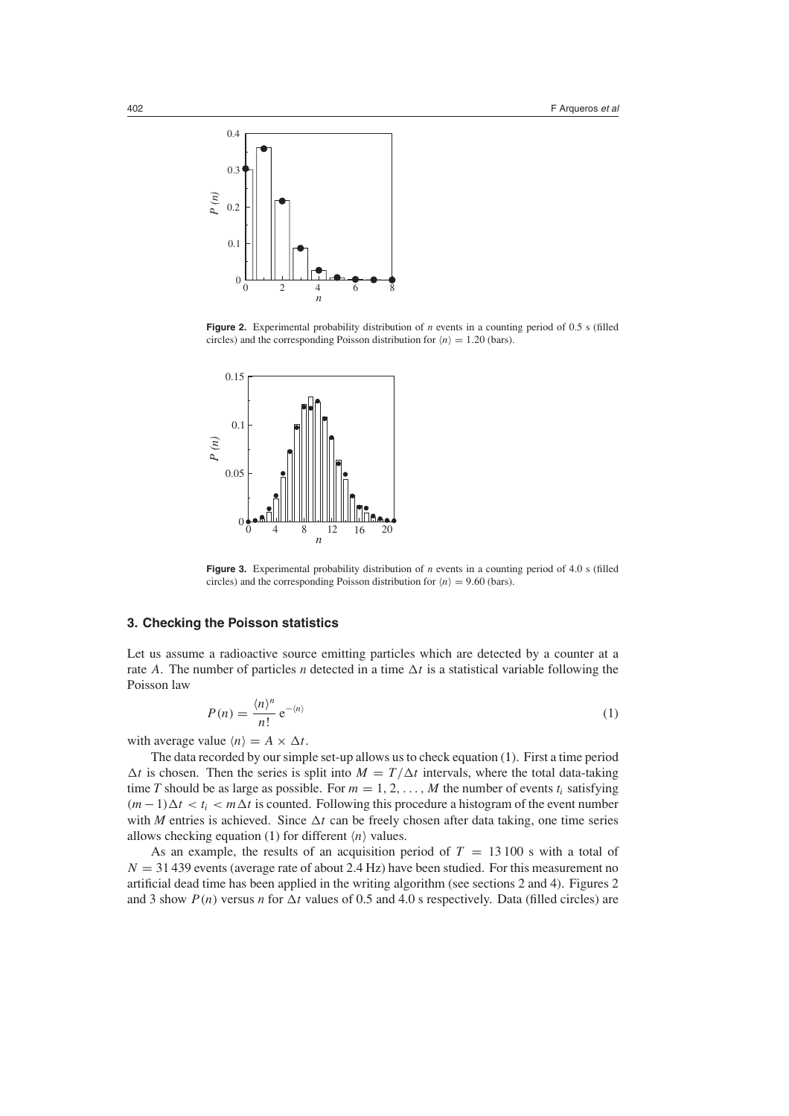

Figure 2. Experimental probability distribution of *n* events in a counting period of 0.5 s (filled circles) and the corresponding Poisson distribution for  $\langle n \rangle = 1.20$  (bars).



Figure 3. Experimental probability distribution of *n* events in a counting period of 4.0 s (filled circles) and the corresponding Poisson distribution for  $\langle n \rangle = 9.60$  (bars).

#### **3. Checking the Poisson statistics**

<span id="page-3-0"></span>Let us assume a radioactive source emitting particles which are detected by a counter at a rate *A*. The number of particles *n* detected in a time  $\Delta t$  is a statistical variable following the Poisson law

$$
P(n) = \frac{\langle n \rangle^n}{n!} e^{-\langle n \rangle} \tag{1}
$$

with average value  $\langle n \rangle = A \times \Delta t$ .

The data recorded by our simple set-up allows us to check equation [\(1\)](#page-3-0). First a time period  $\Delta t$  is chosen. Then the series is split into  $M = T/\Delta t$  intervals, where the total data-taking time *T* should be as large as possible. For  $m = 1, 2, \ldots, M$  the number of events  $t_i$  satisfying  $(m-1)\Delta t < t_i < m\Delta t$  is counted. Following this procedure a histogram of the event number with *M* entries is achieved. Since  $\Delta t$  can be freely chosen after data taking, one time series allows checking equation [\(1\)](#page-3-0) for different  $\langle n \rangle$  values.

As an example, the results of an acquisition period of  $T = 13100$  s with a total of  $N = 31439$  events (average rate of about 2.4 Hz) have been studied. For this measurement no artificial dead time has been applied in the writing algorithm (see sections 2 and 4). Figures 2 and 3 show  $P(n)$  versus *n* for  $\Delta t$  values of 0.5 and 4.0 s respectively. Data (filled circles) are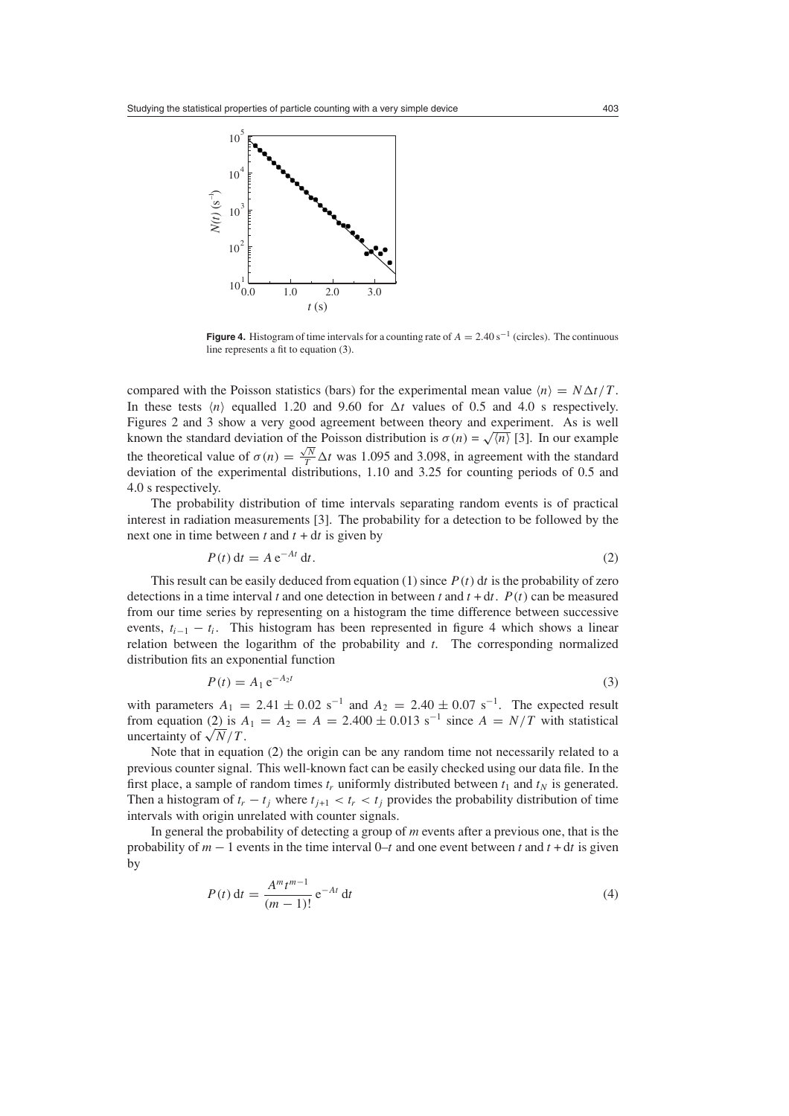

**Figure 4.** Histogram of time intervals for a counting rate of  $A = 2.40 \text{ s}^{-1}$  (circles). The continuous line represents a fit to equation [\(3\)](#page-4-0).

compared with the Poisson statistics (bars) for the experimental mean value  $\langle n \rangle = N \Delta t / T$ . In these tests  $\langle n \rangle$  equalled 1.20 and 9.60 for  $\Delta t$  values of 0.5 and 4.0 s respectively. Figures 2 and 3 show a very good agreement between theory and experiment. As is well known the standard deviation of the Poisson distribution is  $\sigma(n) = \sqrt{\frac{n}{n}}$  [3]. In our example the theoretical value of  $\sigma(n) = \frac{\sqrt{N}}{T} \Delta t$  was 1.095 and 3.098, in agreement with the standard deviation of the experimental distributions, 1.10 and 3.25 for counting periods of 0.5 and 4.0 s respectively.

<span id="page-4-1"></span>The probability distribution of time intervals separating random events is of practical interest in radiation measurements [3]. The probability for a detection to be followed by the next one in time between  $t$  and  $t + dt$  is given by

$$
P(t) dt = A e^{-At} dt.
$$
 (2)

This result can be easily deduced from equation [\(1\)](#page-3-0) since  $P(t)$  dt is the probability of zero detections in a time interval *t* and one detection in between *t* and  $t + dt$ .  $P(t)$  can be measured from our time series by representing on a histogram the time difference between successive events,  $t_{i-1} - t_i$ . This histogram has been represented in figure 4 which shows a linear relation between the logarithm of the probability and *t*. The corresponding normalized distribution fits an exponential function

$$
P(t) = A_1 e^{-A_2 t}
$$
\n<sup>(3)</sup>

<span id="page-4-0"></span>with parameters  $A_1 = 2.41 \pm 0.02 \text{ s}^{-1}$  and  $A_2 = 2.40 \pm 0.07 \text{ s}^{-1}$ . The expected result from equation [\(2\)](#page-4-1) is  $A_1 = A_2 = A = 2.400 \pm 0.013$  s<sup>-1</sup> since  $A = N/T$  with statistical uncertainty of  $\sqrt{N}/T$ .

Note that in equation [\(2\)](#page-4-1) the origin can be any random time not necessarily related to a previous counter signal. This well-known fact can be easily checked using our data file. In the first place, a sample of random times  $t_r$  uniformly distributed between  $t_1$  and  $t_N$  is generated. Then a histogram of  $t_r - t_j$  where  $t_{j+1} < t_r < t_j$  provides the probability distribution of time intervals with origin unrelated with counter signals.

<span id="page-4-2"></span>In general the probability of detecting a group of *m* events after a previous one, that is the probability of  $m - 1$  events in the time interval 0–*t* and one event between *t* and  $t + dt$  is given by

$$
P(t) dt = \frac{A^{m} t^{m-1}}{(m-1)!} e^{-At} dt
$$
 (4)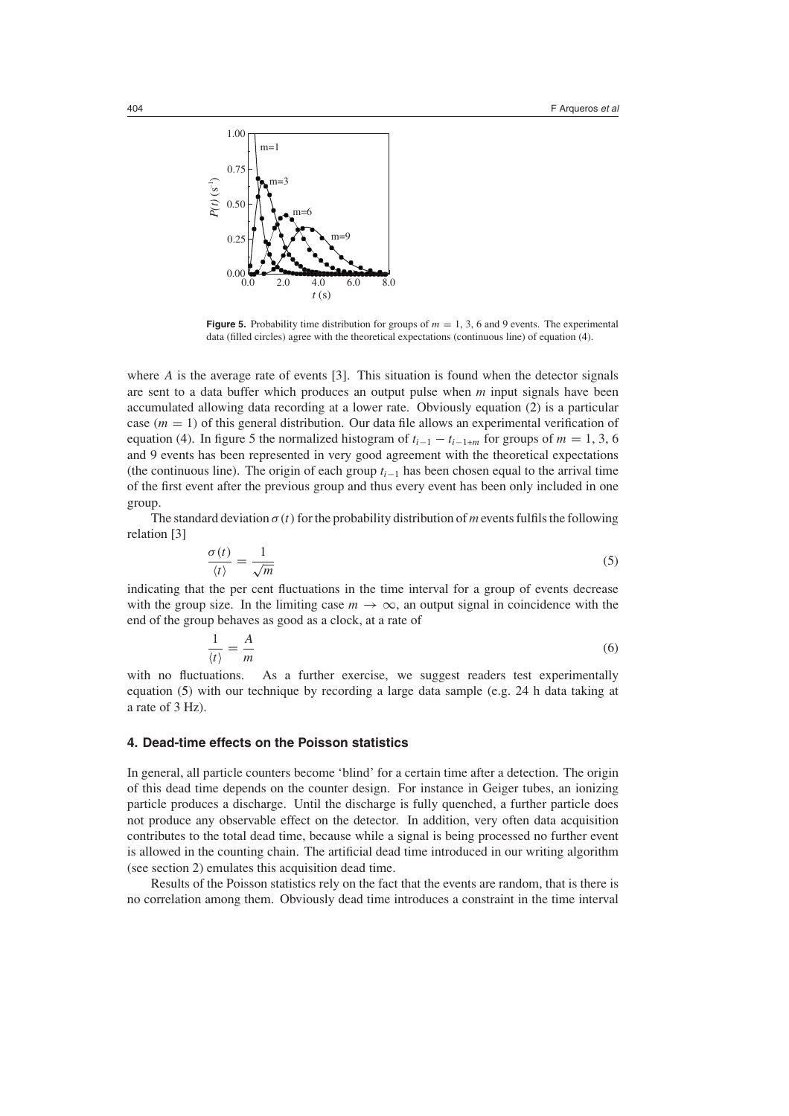

**Figure 5.** Probability time distribution for groups of  $m = 1, 3, 6$  and 9 events. The experimental data (filled circles) agree with the theoretical expectations (continuous line) of equation [\(4\)](#page-4-2).

where *A* is the average rate of events [3]. This situation is found when the detector signals are sent to a data buffer which produces an output pulse when *m* input signals have been accumulated allowing data recording at a lower rate. Obviously equation [\(2\)](#page-4-1) is a particular case  $(m = 1)$  of this general distribution. Our data file allows an experimental verification of equation [\(4\)](#page-4-2). In figure 5 the normalized histogram of  $t_{i-1} - t_{i-1+m}$  for groups of  $m = 1, 3, 6$ and 9 events has been represented in very good agreement with the theoretical expectations (the continuous line). The origin of each group *ti*−<sup>1</sup> has been chosen equal to the arrival time of the first event after the previous group and thus every event has been only included in one group.

<span id="page-5-0"></span>The standard deviation  $\sigma(t)$  for the probability distribution of *m* events fulfils the following relation [3]

$$
\frac{\sigma(t)}{\langle t \rangle} = \frac{1}{\sqrt{m}}\tag{5}
$$

indicating that the per cent fluctuations in the time interval for a group of events decrease with the group size. In the limiting case  $m \to \infty$ , an output signal in coincidence with the end of the group behaves as good as a clock, at a rate of

$$
\frac{1}{\langle t \rangle} = \frac{A}{m} \tag{6}
$$

with no fluctuations. As a further exercise, we suggest readers test experimentally equation [\(5\)](#page-5-0) with our technique by recording a large data sample (e.g. 24 h data taking at a rate of 3 Hz).

#### **4. Dead-time effects on the Poisson statistics**

In general, all particle counters become 'blind' for a certain time after a detection. The origin of this dead time depends on the counter design. For instance in Geiger tubes, an ionizing particle produces a discharge. Until the discharge is fully quenched, a further particle does not produce any observable effect on the detector. In addition, very often data acquisition contributes to the total dead time, because while a signal is being processed no further event is allowed in the counting chain. The artificial dead time introduced in our writing algorithm (see section 2) emulates this acquisition dead time.

Results of the Poisson statistics rely on the fact that the events are random, that is there is no correlation among them. Obviously dead time introduces a constraint in the time interval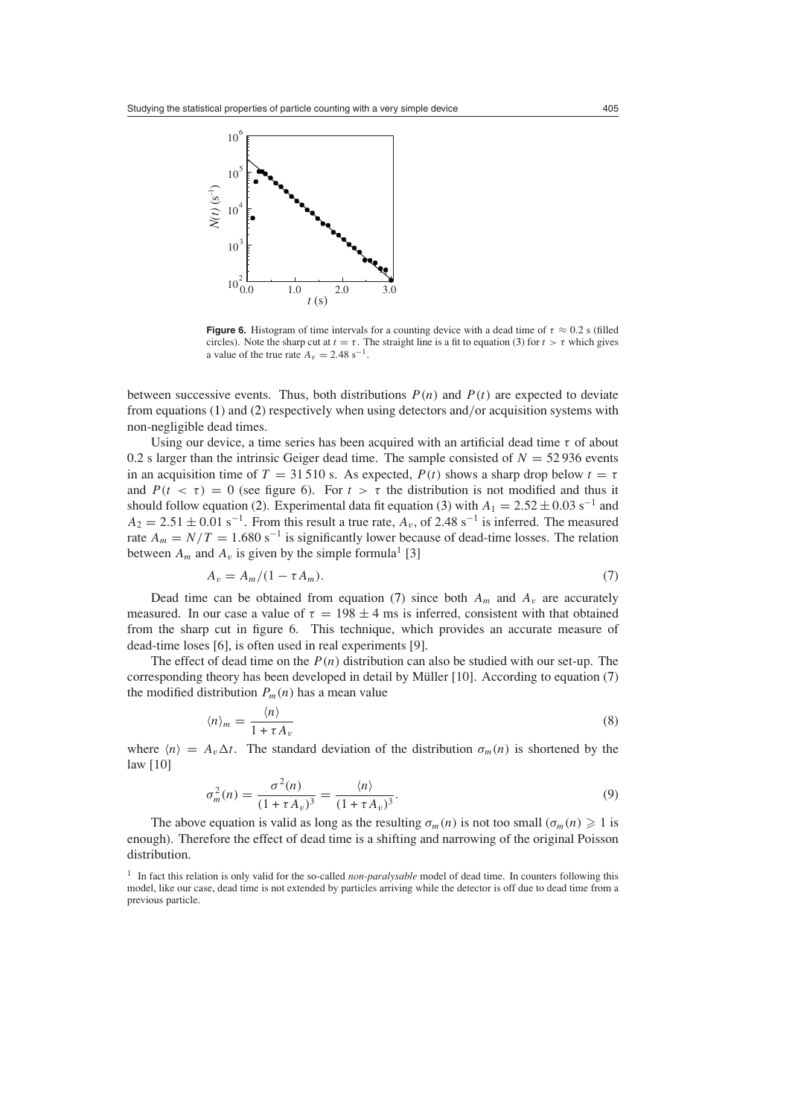

**Figure 6.** Histogram of time intervals for a counting device with a dead time of  $\tau \approx 0.2$  s (filled circles). Note the sharp cut at  $t = \tau$ . The straight line is a fit to equation [\(3\)](#page-4-0) for  $t > \tau$  which gives a value of the true rate  $A_v = 2.48 \text{ s}^{-1}$ .

between successive events. Thus, both distributions  $P(n)$  and  $P(t)$  are expected to deviate from equations [\(1\)](#page-3-0) and [\(2\)](#page-4-1) respectively when using detectors and*/*or acquisition systems with non-negligible dead times.

Using our device, a time series has been acquired with an artificial dead time *τ* of about 0.2 s larger than the intrinsic Geiger dead time. The sample consisted of  $N = 52936$  events in an acquisition time of  $T = 31510$  s. As expected,  $P(t)$  shows a sharp drop below  $t = \tau$ and  $P(t < \tau) = 0$  (see figure 6). For  $t > \tau$  the distribution is not modified and thus it should follow equation [\(2\)](#page-4-1). Experimental data fit equation [\(3\)](#page-4-0) with  $A_1 = 2.52 \pm 0.03$  s<sup>-1</sup> and  $A_2 = 2.51 \pm 0.01$  s<sup>-1</sup>. From this result a true rate,  $A_v$ , of 2.48 s<sup>-1</sup> is inferred. The measured rate  $A_m = N/T = 1.680 \text{ s}^{-1}$  is significantly lower because of dead-time losses. The relation between  $A_m$  and  $A_v$  is given by the simple formula<sup>1</sup> [3]

$$
A_v = A_m/(1 - \tau A_m). \tag{7}
$$

<span id="page-6-0"></span>Dead time can be obtained from equation [\(7\)](#page-6-0) since both  $A_m$  and  $A_v$  are accurately measured. In our case a value of  $\tau = 198 \pm 4$  ms is inferred, consistent with that obtained from the sharp cut in figure 6. This technique, which provides an accurate measure of dead-time loses [6], is often used in real experiments [9].

<span id="page-6-1"></span>The effect of dead time on the *P (n)* distribution can also be studied with our set-up. The corresponding theory has been developed in detail by Müller  $[10]$ . According to equation  $(7)$  $(7)$ the modified distribution  $P_m(n)$  has a mean value

$$
\langle n \rangle_m = \frac{\langle n \rangle}{1 + \tau A_v} \tag{8}
$$

<span id="page-6-2"></span>where  $\langle n \rangle = A_v \Delta t$ . The standard deviation of the distribution  $\sigma_m(n)$  is shortened by the law [10]

$$
\sigma_m^2(n) = \frac{\sigma^2(n)}{(1 + \tau A_v)^3} = \frac{\langle n \rangle}{(1 + \tau A_v)^3}.
$$
\n(9)

The above equation is valid as long as the resulting  $\sigma_m(n)$  is not too small  $(\sigma_m(n) \geq 1)$  is enough). Therefore the effect of dead time is a shifting and narrowing of the original Poisson distribution.

<sup>&</sup>lt;sup>1</sup> In fact this relation is only valid for the so-called *non-paralysable* model of dead time. In counters following this model, like our case, dead time is not extended by particles arriving while the detector is off due to dead time from a previous particle.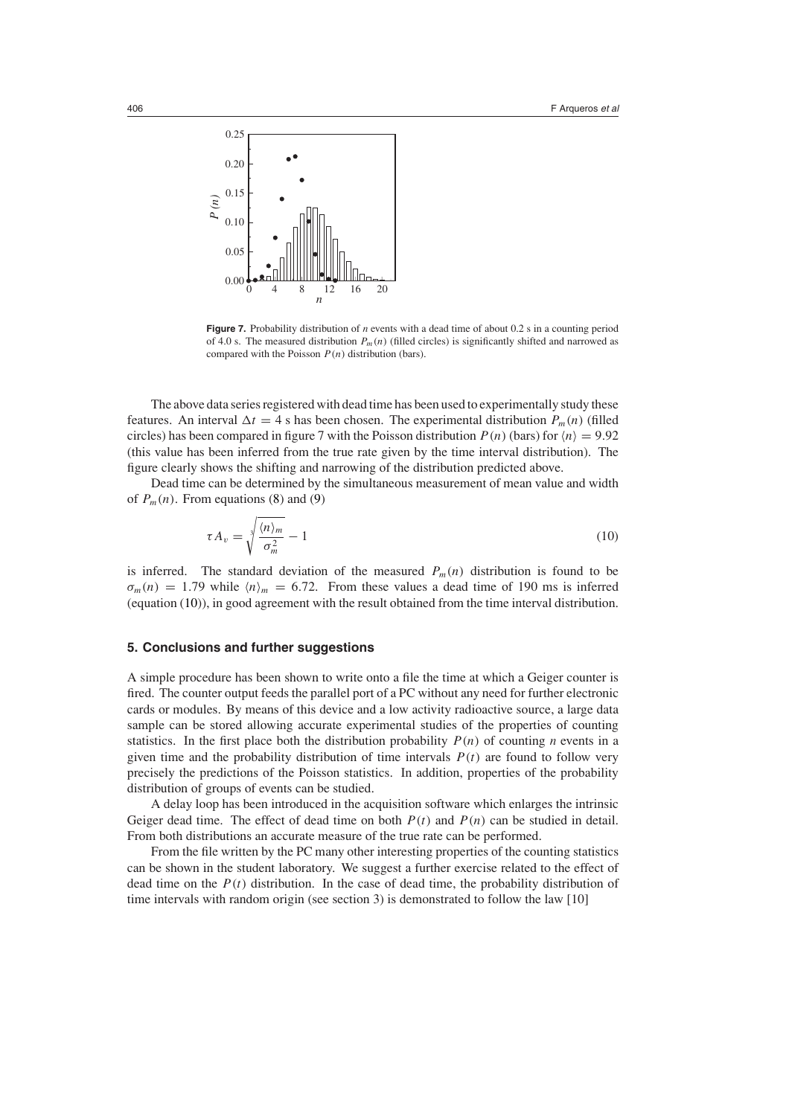

**Figure 7.** Probability distribution of *n* events with a dead time of about 0.2 s in a counting period of 4.0 s. The measured distribution  $P_m(n)$  (filled circles) is significantly shifted and narrowed as compared with the Poisson *P (n)* distribution (bars).

The above data series registered with dead time has been used to experimentally study these features. An interval  $\Delta t = 4$  s has been chosen. The experimental distribution  $P_m(n)$  (filled circles) has been compared in figure 7 with the Poisson distribution  $P(n)$  (bars) for  $\langle n \rangle = 9.92$ (this value has been inferred from the true rate given by the time interval distribution). The figure clearly shows the shifting and narrowing of the distribution predicted above.

<span id="page-7-0"></span>Dead time can be determined by the simultaneous measurement of mean value and width of  $P_m(n)$ . From equations [\(8\)](#page-6-1) and [\(9\)](#page-6-2)

$$
\tau A_v = \sqrt[3]{\frac{\langle n \rangle_m}{\sigma_m^2}} - 1 \tag{10}
$$

is inferred. The standard deviation of the measured  $P_m(n)$  distribution is found to be  $\sigma_m(n) = 1.79$  while  $\langle n \rangle_m = 6.72$ . From these values a dead time of 190 ms is inferred (equation [\(10\)](#page-7-0)), in good agreement with the result obtained from the time interval distribution.

### **5. Conclusions and further suggestions**

A simple procedure has been shown to write onto a file the time at which a Geiger counter is fired. The counter output feeds the parallel port of a PC without any need for further electronic cards or modules. By means of this device and a low activity radioactive source, a large data sample can be stored allowing accurate experimental studies of the properties of counting statistics. In the first place both the distribution probability  $P(n)$  of counting *n* events in a given time and the probability distribution of time intervals  $P(t)$  are found to follow very precisely the predictions of the Poisson statistics. In addition, properties of the probability distribution of groups of events can be studied.

A delay loop has been introduced in the acquisition software which enlarges the intrinsic Geiger dead time. The effect of dead time on both  $P(t)$  and  $P(n)$  can be studied in detail. From both distributions an accurate measure of the true rate can be performed.

From the file written by the PC many other interesting properties of the counting statistics can be shown in the student laboratory. We suggest a further exercise related to the effect of dead time on the  $P(t)$  distribution. In the case of dead time, the probability distribution of time intervals with random origin (see section 3) is demonstrated to follow the law [10]